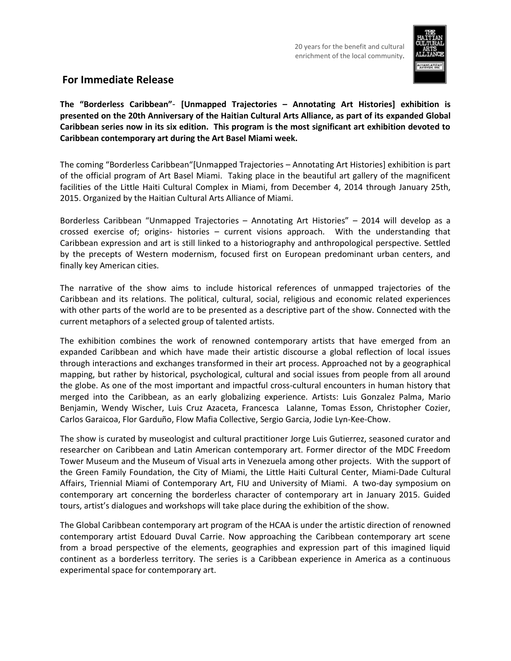

## **For Immediate Release**

**The "Borderless Caribbean"**- **[Unmapped Trajectories – Annotating Art Histories] exhibition is presented on the 20th Anniversary of the Haitian Cultural Arts Alliance, as part of its expanded Global Caribbean series now in its six edition. This program is the most significant art exhibition devoted to Caribbean contemporary art during the Art Basel Miami week.**

The coming "Borderless Caribbean"[Unmapped Trajectories – Annotating Art Histories] exhibition is part of the official program of Art Basel Miami. Taking place in the beautiful art gallery of the magnificent facilities of the Little Haiti Cultural Complex in Miami, from December 4, 2014 through January 25th, 2015. Organized by the Haitian Cultural Arts Alliance of Miami.

Borderless Caribbean "Unmapped Trajectories – Annotating Art Histories" – 2014 will develop as a crossed exercise of; origins- histories – current visions approach. With the understanding that Caribbean expression and art is still linked to a historiography and anthropological perspective. Settled by the precepts of Western modernism, focused first on European predominant urban centers, and finally key American cities.

The narrative of the show aims to include historical references of unmapped trajectories of the Caribbean and its relations. The political, cultural, social, religious and economic related experiences with other parts of the world are to be presented as a descriptive part of the show. Connected with the current metaphors of a selected group of talented artists.

The exhibition combines the work of renowned contemporary artists that have emerged from an expanded Caribbean and which have made their artistic discourse a global reflection of local issues through interactions and exchanges transformed in their art process. Approached not by a geographical mapping, but rather by historical, psychological, cultural and social issues from people from all around the globe. As one of the most important and impactful cross-cultural encounters in human history that merged into the Caribbean, as an early globalizing experience. Artists: Luis Gonzalez Palma, Mario Benjamin, Wendy Wischer, Luis Cruz Azaceta, Francesca Lalanne, Tomas Esson, Christopher Cozier, Carlos Garaicoa, Flor Garduño, Flow Mafia Collective, Sergio Garcia, Jodie Lyn-Kee-Chow.

The show is curated by museologist and cultural practitioner Jorge Luis Gutierrez, seasoned curator and researcher on Caribbean and Latin American contemporary art. Former director of the MDC Freedom Tower Museum and the Museum of Visual arts in Venezuela among other projects. With the support of the Green Family Foundation, the City of Miami, the Little Haiti Cultural Center, Miami-Dade Cultural Affairs, Triennial Miami of Contemporary Art, FIU and University of Miami. A two-day symposium on contemporary art concerning the borderless character of contemporary art in January 2015. Guided tours, artist's dialogues and workshops will take place during the exhibition of the show.

The Global Caribbean contemporary art program of the HCAA is under the artistic direction of renowned contemporary artist Edouard Duval Carrie. Now approaching the Caribbean contemporary art scene from a broad perspective of the elements, geographies and expression part of this imagined liquid continent as a borderless territory. The series is a Caribbean experience in America as a continuous experimental space for contemporary art.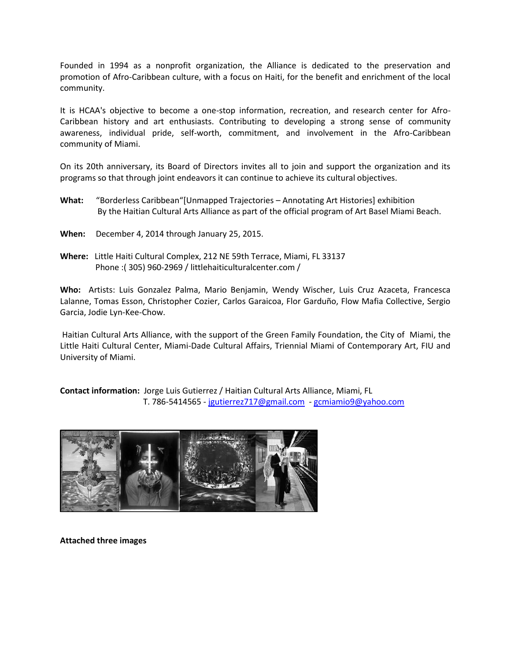Founded in 1994 as a nonprofit organization, the Alliance is dedicated to the preservation and promotion of Afro-Caribbean culture, with a focus on Haiti, for the benefit and enrichment of the local community.

It is HCAA's objective to become a one-stop information, recreation, and research center for Afro-Caribbean history and art enthusiasts. Contributing to developing a strong sense of community awareness, individual pride, self-worth, commitment, and involvement in the Afro-Caribbean community of Miami.

On its 20th anniversary, its Board of Directors invites all to join and support the organization and its programs so that through joint endeavors it can continue to achieve its cultural objectives.

- **What:** "Borderless Caribbean"[Unmapped Trajectories Annotating Art Histories] exhibition By the Haitian Cultural Arts Alliance as part of the official program of Art Basel Miami Beach.
- **When:** December 4, 2014 through January 25, 2015.
- **Where:** Little Haiti Cultural Complex, 212 NE 59th Terrace, Miami, FL 33137 Phone :( 305) 960-2969 / littlehaiticulturalcenter.com /

**Who:** Artists: Luis Gonzalez Palma, Mario Benjamin, Wendy Wischer, Luis Cruz Azaceta, Francesca Lalanne, Tomas Esson, Christopher Cozier, Carlos Garaicoa, Flor Garduño, Flow Mafia Collective, Sergio Garcia, Jodie Lyn-Kee-Chow.

Haitian Cultural Arts Alliance, with the support of the Green Family Foundation, the City of Miami, the Little Haiti Cultural Center, Miami-Dade Cultural Affairs, Triennial Miami of Contemporary Art, FIU and University of Miami.

**Contact information:** Jorge Luis Gutierrez / Haitian Cultural Arts Alliance, Miami, FL T. 786-5414565 - [jgutierrez717@gmail.com](mailto:jgutierrez717@gmail.com) - [gcmiamio9@yahoo.com](mailto:gcmiamio9@yahoo.com)



**Attached three images**